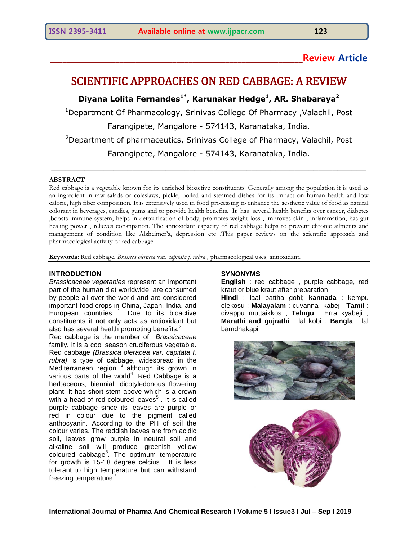# **\_\_\_\_\_\_\_\_\_\_\_\_\_\_\_\_\_\_\_\_\_\_\_\_\_\_\_\_\_\_\_\_\_\_\_\_\_\_\_\_\_\_\_\_\_\_\_\_\_\_\_\_\_\_\_\_\_\_\_\_\_\_Review Article**

# SCIENTIFIC APPROACHES ON RED CABBAGE: A REVIEW

**Diyana Lolita Fernandes1\*, Karunakar Hedge<sup>1</sup> , AR. Shabaraya<sup>2</sup>**

<sup>1</sup>Department Of Pharmacology, Srinivas College Of Pharmacy ,Valachil, Post

Farangipete, Mangalore - 574143, Karanataka, India.

<sup>2</sup>Department of pharmaceutics, Srinivas College of Pharmacy, Valachil, Post

Farangipete, Mangalore - 574143, Karanataka, India.

\_\_\_\_\_\_\_\_\_\_\_\_\_\_\_\_\_\_\_\_\_\_\_\_\_\_\_\_\_\_\_\_\_\_\_\_\_\_\_\_\_\_\_\_\_\_\_\_\_\_\_\_\_\_\_\_\_\_\_\_\_\_\_\_\_\_

#### **ABSTRACT**

Red cabbage is a vegetable known for its enriched bioactive constituents. Generally among the population it is used as an ingredient in raw salads or coleslaws, pickle, boiled and steamed dishes for its impact on human health and low calorie, high fiber composition. It is extensively used in food processing to enhance the aesthetic value of food as natural colorant in beverages, candies, gums and to provide health benefits. It has several health benefits over cancer, diabetes ,boosts immune system, helps in detoxification of body, promotes weight loss , improves skin , inflammation, has gut healing power , relieves constipation. The antioxidant capacity of red cabbage helps to prevent chronic ailments and management of condition like Alzheimer's, depression etc .This paper reviews on the scientific approach and pharmacological activity of red cabbage.

**Keywords**: Red cabbage, *Brassica oleracea* var*. capitata f. rubra ,* pharmacological uses*,* antioxidant.

#### **INTRODUCTION**

*Brassicaceae vegetables* represent an important part of the human diet worldwide, are consumed by people all over the world and are considered important food crops in China, Japan, India, and European countries <sup>1</sup>. Due to its bioactive constituents it not only acts as antioxidant but also has several health promoting benefits.<sup>2</sup>

Red cabbage is the member of *Brassicaceae* family. It is a cool season cruciferous vegetable. Red cabbage *(Brassica oleracea var. capitata f. rubra)* is type of cabbage, widespread in the Mediterranean region <sup>3</sup> although its grown in various parts of the world<sup>4</sup>. Red Cabbage is a herbaceous, biennial, dicotyledonous flowering plant. It has short stem above which is a crown with a head of red coloured leaves<sup>5</sup>. It is called purple cabbage since its leaves are purple or red in colour due to the pigment called anthocyanin. According to the PH of soil the colour varies. The reddish leaves are from acidic soil, leaves grow purple in neutral soil and alkaline soil will produce greenish yellow coloured cabbage<sup>6</sup>. The optimum temperature for growth is 15-18 degree celcius . It is less tolerant to high temperature but can withstand freezing temperature<sup>'7</sup>.

# **SYNONYMS**

**English** : red cabbage , purple cabbage, red kraut or blue kraut after preparation

**Hindi** : laal pattha gobi; **kannada** : kempu elekosu ; **Malayalam** : cuvanna kabej ; **Tamil** : civappu muttaikkos ; **Telugu** : Erra kyabeji ; **Marathi and gujrathi** : lal kobi . **Bangla** : lal bamdhakapi



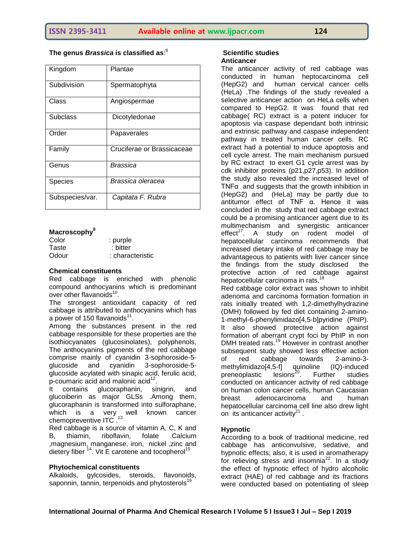**The genus** *Brassica* **is classified as**: 8

| Kingdom         | Plantae                    |
|-----------------|----------------------------|
| Subdivision     | Spermatophyta              |
| Class           | Angiospermae               |
| Subclass        | Dicotyledonae              |
| Order           | Papaverales                |
| Family          | Cruciferae or Brassicaceae |
| Genus           | Brassica                   |
| <b>Species</b>  | Brassica oleracea          |
| Subspecies/var. | Capitata F. Rubra          |

### **Macroscophy<sup>9</sup>**

| Color | : purple         |
|-------|------------------|
| Taste | : bitter         |
| Odour | : characteristic |

#### **Chemical constituents**

Red cabbage is enriched with phenolic compound anthocyanins which is predominant over other flavanoids<sup>10</sup>.

The strongest antioxidant capacity of red cabbage is attributed to anthocyanins which has a power of 150 flavanoids $^{11}$ .

Among the substances present in the red cabbage responsible for these properties are the isothiocyanates (glucosinolates), polyphenols, The anthocyanins pigments of the red cabbage comprise mainly of cyanidin 3-sophoroside-5 glucoside and cyanidin 3-sophoroside-5 glucoside acylated with sinapic acid, ferulic acid, p-coumaric acid and malonic acid<sup>12</sup> .

It contains glucoraphanin, sinigrin, and glucoiberin as major GLSs .Among them, glucoraphanin is transformed into sulforaphane, which is a very well known cancer chemopreventive ITC.<sup>13</sup>

Red cabbage is a source of vitamin A, C, K and B, thiamin, riboflavin, folate .Calcium ,magnesium, manganese, iron, nickel ,zinc and dietery fiber  $14$ . Vit E carotene and tocopherol<sup>15</sup>

#### **Phytochemical constituents**

Alkaloids, gylcosides, steroids, flavonoids, saponnin, tannin, terpenoids and phytosterols<sup>16</sup>

#### **Scientific studies Anticancer**

The anticancer activity of red cabbage was conducted in human heptocarcinoma cell (HepG2) and human cervical cancer cells (HeLa) .The findings of the study revealed a selective anticancer action on HeLa cells when compared to HepG2. It was found that red cabbage( RC) extract is a potent inducer for apoptosis via caspase dependant both intrinsic and extrinsic pathway and caspase independent pathway in treated human cancer cells. RC extract had a potential to induce apoptosis and cell cycle arrest. The main mechanism pursued by RC extract to exert G1 cycle arrest was by cdk inhibitor proteins (p21,p27,p53). In addition the study also revealed the increased level of TNF $\alpha$  and suggests that the growth inhibition in (HepG2) and (HeLa) may be partly due to antitumor effect of TNF α. Hence it was concluded in the study that red cabbage extract could be a promising anticancer agent due to its multimechanism and synergistic anticancer effect<sup>17</sup>. A study on rodent model of hepatocellular carcinoma recommends that increased dietary intake of red cabbage may be advantageous to patients with liver cancer since the findings from the study disclosed the protective action of red cabbage against hepatocellular carcinoma in rats.<sup>18</sup>

Red cabbage color extract was shown to inhibit adenoma and carcinoma formation formation in rats initially treated with 1,2-dimethylhydrazine (DMH) followed by fed diet containing 2-amino-1-methyl-6-phenylimidazo[4,5-b]pyridine (PhIP). It also showed protective action against formation of aberrant crypt foci by PhIP in non DMH treated rats.<sup>19</sup> However in contrast another subsequent study showed less effective action of red cabbage towards 2-amino-3 methylimidazo[4,5-f] quinoline (IQ)-induced<br>preneoplastic lesions<sup>20</sup>. Further studies preneoplastic . Further studies conducted on anticancer activity of red cabbage on human colon cancer cells, human Caucasian breast adenocarcinoma and human hepatocellular carcinoma cell line also drew light on its anticancer activity $21$ .

# **Hypnotic**

According to a book of traditional medicine, red cabbage has anticonvulsive, sedative, and hypnotic effects; also, it is used in aromatherapy for relieving stress and insomnia $22$ . In a study the effect of hypnotic effect of hydro alcoholic extract (HAE) of red cabbage and its fractions were conducted based on potentiating of sleep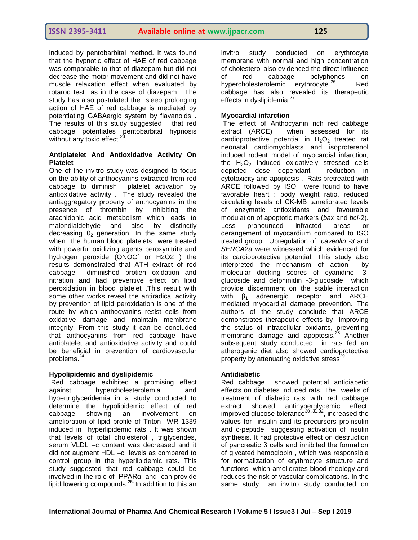induced by pentobarbital method. It was found that the hypnotic effect of HAE of red cabbage was comparable to that of diazepam but did not decrease the motor movement and did not have muscle relaxation effect when evaluated by rotarod test as in the case of diazepam. The study has also postulated the sleep prolonging action of HAE of red cabbage is mediated by potentiating GABAergic system by flavanoids . The results of this study suggested that red cabbage potentiates pentobarbital hypnosis without any toxic effect  $2^{\frac{1}{3}}$ .

#### **Antiplatelet And Antioxidative Activity On Platelet**

One of the invitro study was designed to focus on the ability of anthocyanins extracted from red cabbage to diminish platelet activation by antioxidative activity . The study revealed the antiaggregatory property of anthocyanins in the presence of thrombin by inhibiting the arachidonic acid metabolism which leads to malondialdehyde and also by distinctly decreasing  $0<sub>2</sub>$  generation. In the same study when the human blood platelets were treated with powerful oxidizing agents peroxynitrite and hydrogen peroxide (ONOO-or H2O2 ) the results demonstrated that ATH extract of red cabbage diminished protien oxidation and nitration and had preventive effect on lipid peroxidation in blood platelet .This result with some other works reveal the antiradical activity by prevention of lipid peroxidation is one of the route by which anthocyanins resist cells from oxidative damage and maintain membrane integrity. From this study it can be concluded that anthocyanins from red cabbage have antiplatelet and antioxidative activity and could be beneficial in prevention of cardiovascular problems.<sup>24</sup>

# **Hypolipidemic and dyslipidemic**

Red cabbage exhibited a promising effect against hypercholesterolemia and hypertriglyceridemia in a study conducted to determine the hypolipidemic effect of red cabbage showing an involvement on amelioration of lipid profile of Triton WR 1339 induced in hyperlipidemic rats . It was shown that levels of total cholesterol , triglycerides, serum VLDL –c content was decreased and it did not augment HDL –c levels as compared to control group in the hyperlipidemic rats. This study suggested that red cabbage could be involved in the role of PPARα and can provide lipid lowering compounds.<sup>25</sup> In addition to this an

invitro study conducted on erythrocyte membrane with normal and high concentration of cholesterol also evidenced the direct influence of red cabbage polyphones on hypercholesterolemic erythrocyte.<sup>26</sup> . Red cabbage has also revealed its therapeutic effects in dyslipidemia.<sup>27</sup>

# **Myocardial infarction**

The effect of Anthocyanin rich red cabbage extract (ARCE) when assessed for its cardioprotective potential in  $H_2O_2$  treated rat neonatal cardiomyoblasts and isoproterenol induced rodent model of myocardial infarction, the  $H_2O_2$  induced oxidatively stressed cells depicted dose dependant reduction in cytotoxicity and apoptosis . Rats pretreated with ARCE followed by ISO were found to have favorable heart : body weight ratio, reduced circulating levels of CK-MB ,ameliorated levels of enzymatic antioxidants and favourable modulation of apoptotic markers (*bax* and *bcl*-2). Less pronounced infracted areas or derangement of myocardium compared to ISO treated group. Upregulation of *caveolin -3* and *SERCA2a* were witnessed which evidenced for its cardioprotective potential. This study also interpreted the mechanism of action by molecular docking scores of cyanidine -3 glucoside and delphinidin -3-glucoside which provide discernment on the stable interaction with  $β_1$  adrenergic receptor and ARCE mediated myocardial damage prevention. The authors of the study conclude that ARCE demonstrates therapeutic effects by improving the status of intracellular oxidants, preventing membrane damage and apoptosis.<sup>28</sup> Another subsequent study conducted in rats fed an atherogenic diet also showed cardioprotective property by attenuating oxidative stress<sup>29</sup>

#### **Antidiabetic**

Red cabbage showed potential antidiabetic effects on diabetes induced rats. The weeks of treatment of diabetic rats with red cabbage extract showed antihyperglycemic effect, improved glucose tolerance<sup>30</sup>,<sup>31,32</sup>, increased the values for insulin and its precursors proinsulin and c-peptide suggesting activation of insulin synthesis. It had protective effect on destruction of pancreatic β cells and inhibited the formation of glycated hemoglobin , which was responsible for normalization of erythrocyte structure and functions which ameliorates blood rheology and reduces the risk of vascular complications. In the same study an invitro study conducted on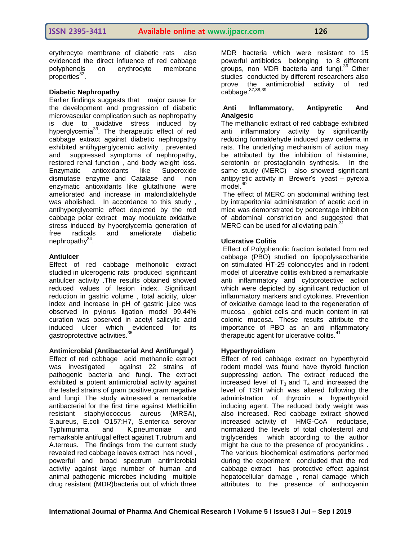erythrocyte membrane of diabetic rats also evidenced the direct influence of red cabbage polyphenols on erythrocyte membrane properties<sup>32</sup>.

#### **Diabetic Nephropathy**

Earlier findings suggests that major cause for the development and progression of diabetic microvascular complication such as nephropathy is due to oxidative stress induced by hyperglycemia<sup>33</sup>. The therapeutic effect of red cabbage extract against diabetic nephropathy exhibited antihyperglycemic activity , prevented and suppressed symptoms of nephropathy, restored renal function , and body weight loss. Enzymatic antioxidants like Superoxide dismutase enzyme and Catalase and non enzymatic antioxidants like glutathione were ameliorated and increase in malondialdehyde was abolished. In accordance to this study , antihyperglycemic effect depicted by the red cabbage polar extract may modulate oxidative stress induced by hyperglycemia generation of<br>free radicals and ameliorate diabetic free radicals and ameliorate diabetic nephropathy<sup>34</sup>.

#### **Antiulcer**

Effect of red cabbage methonolic extract studied in ulcerogenic rats produced significant antiulcer activity .The results obtained showed reduced values of lesion index. Significant reduction in gastric volume , total acidity, ulcer index and increase in pH of gastric juice was observed in pylorus ligation model 99.44% curation was observed in acetyl salicylic acid induced ulcer which evidenced for its gastroprotective activities.<sup>35</sup>

# **Antimicrobial (Antibacterial And Antifungal )**

Effect of red cabbage acid methanolic extract was investigated against 22 strains of pathogenic bacteria and fungi. The extract exhibited a potent antimicrobial activity against the tested strains of gram positive,gram negative and fungi. The study witnessed a remarkable antibacterial for the first time against Methicillin resistant staphylococcus aureus (MRSA), S.aureus, E.coli O157:H7, S.enterica serovar Typhimurima and K.pneumoniae and remarkable antifugal effect against T.rubrum and A.terreus. The findings from the current study revealed red cabbage leaves extract has novel , powerful and broad spectrum antimicrobial activity against large number of human and animal pathogenic microbes including multiple drug resistant (MDR)bacteria out of which three

MDR bacteria which were resistant to 15 powerful antibiotics belonging to 8 different groups, non MDR bacteria and fungi.<sup>36</sup> Other studies conducted by different researchers also prove the antimicrobial activity of red .<br>cabbage.<sup>37,38,39</sup>

#### **Anti Inflammatory, Antipyretic And Analgesic**

The methanolic extract of red cabbage exhibited anti inflammatory activity by significantly reducing formaldehyde induced paw oedema in rats. The underlying mechanism of action may be attributed by the inhibition of histamine, serotonin or prostaglandin synthesis. In the same study (MERC) also showed significant antipyretic activity in Brewer's yeast – pyrexia model. $40$ 

The effect of MERC on abdominal writhing test by intraperitonial administration of acetic acid in mice was demonstrated by percentage inhibition of abdominal constriction and suggested that MERC can be used for alleviating pain.<sup>31</sup>

# **Ulcerative Colitis**

Effect of Polyphenolic fraction isolated from red cabbage (PBO) studied on lipopolysaccharide on stimulated HT-29 colonocytes and in rodent model of ulcerative colitis exhibited a remarkable anti inflammatory and cytoprotective action which were depicted by significant reduction of inflammatory markers and cytokines. Prevention of oxidative damage lead to the regeneration of mucosa , goblet cells and mucin content in rat colonic mucosa. These results attribute the importance of PBO as an anti inflammatory therapeutic agent for ulcerative colitis. $41$ 

#### **Hyperthyroidism**

Effect of red cabbage extract on hyperthyroid rodent model was found have thyroid function suppressing action. The extract reduced the increased level of  $T_3$  and  $T_4$  and increased the level of TSH which was altered following the administration of thyroxin a hyperthyroid inducing agent. The reduced body weight was also increased. Red cabbage extract showed increased activity of HMG-CoA reductase, normalized the levels of total cholesterol and triglycerides which according to the author might be due to the presence of procyanidins . The various biochemical estimations performed during the experiment concluded that the red cabbage extract has protective effect against hepatocellular damage , renal damage which attributes to the presence of anthocyanin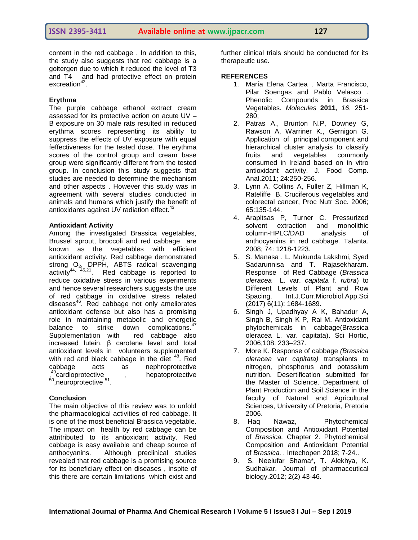content in the red cabbage . In addition to this, the study also suggests that red cabbage is a goitergen due to which it reduced the level of T3 and T4 and had protective effect on protein excreation<sup>42</sup>.

#### **Erythma**

The purple cabbage ethanol extract cream assessed for its protective action on acute UV – B exposure on 30 male rats resulted in reduced erythma scores representing its ability to suppress the effects of UV exposure with equal feffectiveness for the tested dose. The erythma scores of the control group and cream base group were significantly different from the tested group. In conclusion this study suggests that studies are needed to determine the mechanism and other aspects . However this study was in agreement with several studies conducted in animals and humans which justify the benefit of antioxidants against UV radiation effect.<sup>43</sup>

#### **Antioxidant Activity**

Among the investigated Brassica vegetables, Brussel sprout, broccoli and red cabbage are known as the vegetables with efficient antioxidant activity. Red cabbage demonstrated strong  $O_2$ , DPPH, ABTS radical scavenging activity<sup>44, 45,21</sup>. Red cabbage is reported to reduce oxidative stress in various experiments and hence several researchers suggests the use of red cabbage in oxidative stress related diseases $46$ . Red cabbage not only ameliorates antioxidant defense but also has a promising role in maintaining metabolic and energetic balance to strike down complications.<sup>47</sup> Supplementation with red cabbage also increased lutein, β carotene level and total antioxidant levels in volunteers supplemented with red and black cabbage in the diet  $48$ . Red cabbage acts as nephroprotective , <sup>3</sup>cardioprotective , hepatoprotective <sup>50</sup>,neuroprotective <sup>51</sup>.

# **Conclusion**

The main objective of this review was to unfold the pharmacological activities of red cabbage. It is one of the most beneficial Brassica vegetable. The impact on health by red cabbage can be attritributed to its antioxidant activity. Red cabbage is easy available and cheap source of anthocyanins. Although preclinical studies revealed that red cabbage is a promising source for its beneficiary effect on diseases , inspite of this there are certain limitations which exist and further clinical trials should be conducted for its therapeutic use.

#### **REFERENCES**

- 1. María Elena Cartea , Marta Francisco, Pilar Soengas and Pablo Velasco *.* Phenolic Compounds in Brassica Vegetables. *Molecules* **2011**, *16*, 251- 280;
- 2. Patras A., Brunton N.P, Downey G, Rawson A, Warriner K., Gernigon G. Application of principal component and hierarchical cluster analysis to classify fruits and vegetables commonly consumed in Ireland based on in vitro antioxidant activity. J. Food Comp. Anal.2011; 24:250-256.
- 3. Lynn A, Collins A, Fuller Z, Hillman K, Rateliffe B. Cruciferous vegetables and colorectal cancer, Proc Nutr Soc. 2006; 65:135-144.
- 4. Arapitsas P, Turner C. Pressurized solvent extraction and monolithic column-HPLC/DAD analysis of anthocyanins in red cabbage. Talanta. 2008; 74: 1218-1223.
- 5. S. Manasa , L. Mukunda Lakshmi, Syed Sadarunnisa and T. Rajasekharam. Response of Red Cabbage (*Brassica oleracea* L. var. *capitata* f. *rubra*) to Different Levels of Plant and Row Spacing. Int.J.Curr.Microbiol.App.Sci (2017) 6(11): 1684-1689.
- 6. Singh J, Upadhyay A K, Bahadur A, Singh B, Singh K P, Rai M. Antioxidant phytochemicals in cabbage(Brassica oleracea L. var. capitata). Sci Hortic, 2006;108: 233–237.
- 7. More K. Response of cabbage *(Brassica oleracea* var *capitata)* transplants to nitrogen, phosphorus and potassium nutrition. Desertification submitted for the Master of Science. Department of Plant Production and Soil Science in the faculty of Natural and Agricultural Sciences, University of Pretoria, Pretoria 2006.
- 8. Haq Nawaz, Phytochemical Composition and Antioxidant Potential of *Brassica.* Chapter 2. Phytochemical Composition and Antioxidant Potential of *Brassica. .* Intechopen 2018; 7-24..
- 9. S. Neelufar Shama\*, T. Alekhya, K. Sudhakar. Journal of pharmaceutical biology.2012; 2(2) 43-46.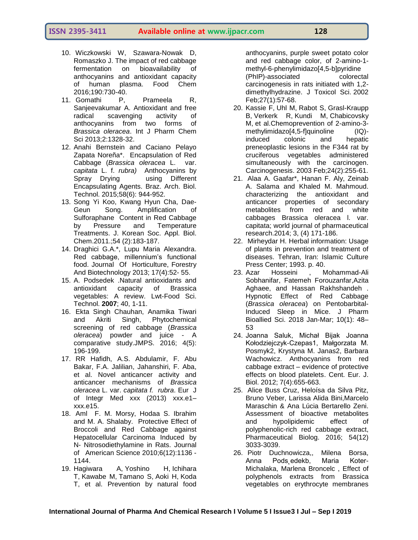### **ISSN 2395-3411 Available online at www.ijpacr.com 128**

- 10. Wiczkowski W, Szawara-Nowak D, Romaszko J. The impact of red cabbage fermentation on bioavailability of anthocyanins and antioxidant capacity of human plasma. Food Chem 2016;190:730-40.
- 11. Gomathi P, Prameela R, Sanjeevakumar A. Antioxidant and free radical scavenging activity of anthocyanins from two forms of *Brassica oleracea*. Int J Pharm Chem Sci 2013;2:1328-32.
- 12. Anahi Bernstein and Caciano Pelayo Zapata Noreña\*. Encapsulation of Red Cabbage (*Brassica oleracea* L. var. *capitata* L. f. *rubra)* Anthocyanins by Spray Drying using Different Encapsulating Agents. Braz. Arch. Biol. Technol. 2015;58(6): 944-952.
- 13. Song Yi Koo, Kwang Hyun Cha, Dae-Geun Song. Amplification of Sulforaphane Content in Red Cabbage by Pressure and Temperature Treatments. J. Korean Soc. Appl. Biol. Chem.2011.;54 (2):183-187.
- 14. Draghici G.A.\*, Lupu Maria Alexandra. Red cabbage, millennium's functional food. Journal Of Horticulture, Forestry And Biotechnology 2013; 17(4):52- 55.
- 15. A. Podsedek .Natural antioxidants and antioxidant capacity of Brassica vegetables: A review. Lwt-Food Sci. Technol. **2007**; 40, 1-11.
- 16. Ekta Singh Chauhan, Anamika Tiwari and Akriti Singh, Phytochemical screening of red cabbage (*Brassica oleracea*) powder and juice - A comparative study.JMPS. 2016; 4(5): 196-199.
- 17. RR Hafidh, A.S. Abdulamir, F. Abu Bakar, F.A. Jalilian, Jahanshiri, F. Aba, et al. Novel anticancer activity and anticancer mechanisms of *Brassica oleracea* L. var. *capitata f. rubra*. Eur J of Integr Med xxx (2013) xxx.e1– xxx.e15.
- 18. Aml F. M. Morsy, Hodaa S. Ibrahim and M. A. Shalaby. Protective Effect of Broccoli and Red Cabbage against Hepatocellular Carcinoma Induced by N- Nitrosodiethylamine in Rats. Journal of American Science 2010;6(12):1136 - 1144.
- 19. [Hagiwara A,](https://www.ncbi.nlm.nih.gov/pubmed/?term=Hagiwara%20A%5BAuthor%5D&cauthor=true&cauthor_uid=11915369) [Yoshino H,](https://www.ncbi.nlm.nih.gov/pubmed/?term=Yoshino%20H%5BAuthor%5D&cauthor=true&cauthor_uid=11915369) [Ichihara](https://www.ncbi.nlm.nih.gov/pubmed/?term=Ichihara%20T%5BAuthor%5D&cauthor=true&cauthor_uid=11915369)  [T,](https://www.ncbi.nlm.nih.gov/pubmed/?term=Ichihara%20T%5BAuthor%5D&cauthor=true&cauthor_uid=11915369) [Kawabe M,](https://www.ncbi.nlm.nih.gov/pubmed/?term=Kawabe%20M%5BAuthor%5D&cauthor=true&cauthor_uid=11915369) [Tamano S,](https://www.ncbi.nlm.nih.gov/pubmed/?term=Tamano%20S%5BAuthor%5D&cauthor=true&cauthor_uid=11915369) [Aoki H,](https://www.ncbi.nlm.nih.gov/pubmed/?term=Aoki%20H%5BAuthor%5D&cauthor=true&cauthor_uid=11915369) [Koda](https://www.ncbi.nlm.nih.gov/pubmed/?term=Koda%20T%5BAuthor%5D&cauthor=true&cauthor_uid=11915369)  [T,](https://www.ncbi.nlm.nih.gov/pubmed/?term=Koda%20T%5BAuthor%5D&cauthor=true&cauthor_uid=11915369) et al. Prevention by natural food

anthocyanins, purple sweet potato color and red cabbage color, of 2-amino-1 methyl-6-phenylimidazo[4,5-b]pyridine (PhIP)-associated colorectal carcinogenesis in rats initiated with 1,2 dimethylhydrazine. [J Toxicol Sci.](https://www.ncbi.nlm.nih.gov/pubmed/11915369) 2002 Feb;27(1):57-68.

- 20. [Kassie F,](https://www.ncbi.nlm.nih.gov/pubmed/?term=Kassie%20F%5BAuthor%5D&cauthor=true&cauthor_uid=12584175) [Uhl M,](https://www.ncbi.nlm.nih.gov/pubmed/?term=Uhl%20M%5BAuthor%5D&cauthor=true&cauthor_uid=12584175) [Rabot S,](https://www.ncbi.nlm.nih.gov/pubmed/?term=Rabot%20S%5BAuthor%5D&cauthor=true&cauthor_uid=12584175) [Grasl-Kraupp](https://www.ncbi.nlm.nih.gov/pubmed/?term=Grasl-Kraupp%20B%5BAuthor%5D&cauthor=true&cauthor_uid=12584175)  [B,](https://www.ncbi.nlm.nih.gov/pubmed/?term=Grasl-Kraupp%20B%5BAuthor%5D&cauthor=true&cauthor_uid=12584175) [Verkerk R,](https://www.ncbi.nlm.nih.gov/pubmed/?term=Verkerk%20R%5BAuthor%5D&cauthor=true&cauthor_uid=12584175) [Kundi M,](https://www.ncbi.nlm.nih.gov/pubmed/?term=Kundi%20M%5BAuthor%5D&cauthor=true&cauthor_uid=12584175) [Chabicovsky](https://www.ncbi.nlm.nih.gov/pubmed/?term=Chabicovsky%20M%5BAuthor%5D&cauthor=true&cauthor_uid=12584175)  [M,](https://www.ncbi.nlm.nih.gov/pubmed/?term=Chabicovsky%20M%5BAuthor%5D&cauthor=true&cauthor_uid=12584175) et al.Chemoprevention of 2-amino-3 methylimidazo[4,5-f]quinoline (IQ)induced colonic and hepatic preneoplastic lesions in the F344 rat by cruciferous vegetables administered simultaneously with the carcinogen. [Carcinogenesis.](https://www.ncbi.nlm.nih.gov/pubmed/12584175) 2003 Feb;24(2):255-61.
- 21. Alaa A. Gaafar\*, Hanan F. Aly, Zeinab A. Salama and Khaled M. Mahmoud. characterizing the antioxidant and anticancer properties of secondary metabolites from red and white cabbages Brassica oleracea l. var. capitata; world journal of pharmaceutical research.2014; 3, (4) 171-186.
- 22. Mirheydar H. Herbal information: Usage of plants in prevention and treatment of diseases. Tehran, Iran: Islamic Culture Press Center; 1993. p. 40.
- 23. [Azar Hosseini](https://www.ncbi.nlm.nih.gov/pubmed/?term=Hosseini%20A%5BAuthor%5D&cauthor=true&cauthor_uid=29657508) , [Mohammad-Ali](https://www.ncbi.nlm.nih.gov/pubmed/?term=Sobhanifar%20MA%5BAuthor%5D&cauthor=true&cauthor_uid=29657508)  [Sobhanifar,](https://www.ncbi.nlm.nih.gov/pubmed/?term=Sobhanifar%20MA%5BAuthor%5D&cauthor=true&cauthor_uid=29657508) [Fatemeh Forouzanfar](https://www.ncbi.nlm.nih.gov/pubmed/?term=Forouzanfar%20F%5BAuthor%5D&cauthor=true&cauthor_uid=29657508)[,Azita](https://www.ncbi.nlm.nih.gov/pubmed/?term=Aghaee%20A%5BAuthor%5D&cauthor=true&cauthor_uid=29657508)  [Aghaee,](https://www.ncbi.nlm.nih.gov/pubmed/?term=Aghaee%20A%5BAuthor%5D&cauthor=true&cauthor_uid=29657508) and [Hassan Rakhshandeh](https://www.ncbi.nlm.nih.gov/pubmed/?term=Rakhshandeh%20H%5BAuthor%5D&cauthor=true&cauthor_uid=29657508) . Hypnotic Effect of Red Cabbage (*Brassica oleracea*) on Pentobarbital-Induced Sleep in Mice. [J Pharm](https://www.ncbi.nlm.nih.gov/pmc/articles/PMC5887652/)  [Bioallied Sci.](https://www.ncbi.nlm.nih.gov/pmc/articles/PMC5887652/) 2018 Jan-Mar; 10(1): 48– 53
- 24. Joanna Saluk, Michał Bijak Joanna Kołodziejczyk-Czepas1, Małgorzata M. Posmyk2, Krystyna M. Janas2, Barbara Wachowicz. Anthocyanins from red cabbage extract – evidence of protective effects on blood platelets. Cent. Eur. J. Biol. 2012; 7(4):655-663.
- 25. Alice Buss Cruz, Heloísa da Silva Pitz, Bruno Veber, Larissa Alida Bini,Marcelo Maraschin & Ana Lúcia Bertarello Zeni. Assessment of bioactive metabolites and hypolipidemic effect of polyphenolic-rich red cabbage extract, Pharmaceutical Biolog. 2016; 54(12) 3033-3039.
- 26. Piotr Duchnowicza,, Milena Borsa, Anna Pods˛edekb, Maria Koter-Michalaka, Marlena Broncelc , Effect of polyphenols extracts from Brassica vegetables on erythrocyte membranes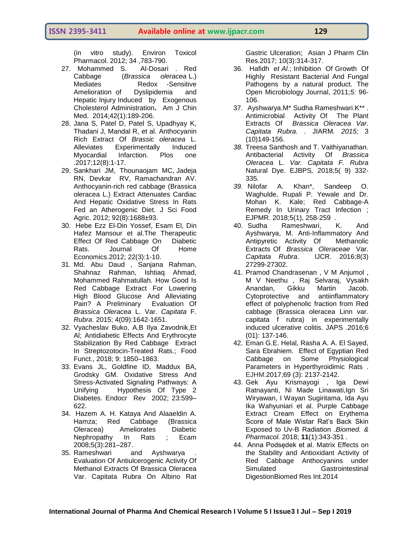# **ISSN 2395-3411 Available online at www.ijpacr.com 129**

(in vitro study). Environ Toxicol Pharmacol. 2012; 34 ,783-790.

- 27. [Mohammed S. Al-Dosari](https://www.worldscientific.com/doi/pdf/10.1142/S0192415X1450013X) . Red Cabbage (*Brassica oleracea* L.) Mediates Redox -Sensitive Amelioration of Dyslipidemia and Hepatic Injury Induced by Exogenous Cholesterol Administration**.** [Am J Chin](https://www.ncbi.nlm.nih.gov/pubmed/24467544)  [Med.](https://www.ncbi.nlm.nih.gov/pubmed/24467544) 2014;42(1):189-206.
- 28. Jana S, Patel D, Patel S, Upadhyay K, Thadani J, Mandal R, et al. Anthocyanin Rich Extract Of *Brassic oleracea* L. Alleviates Experimentally Induced Myocardial Infarction. Plos one .2017;12(8):1-17.
- 29. Sankhari JM, Thounaojam MC, Jadeja RN, Devkar RV, Ramachandran AV. Anthocyanin-rich red cabbage (Brassica oleracea L.) Extract Attenuates Cardiac And Hepatic Oxidative Stress In Rats Fed an Atherogenic Diet. J Sci Food Agric. 2012; 92(8):1688±93.
- 30. Hebe Ezz El-Din Yossef, Esam El, Din Hafez Mansour et al.The Therapeutic Effect Of Red Cabbage On Diabetic Rats. Journal Of Home Economics.2012; 22(3):1-10.
- 31. Md. Abu Daud , Sanjana Rahman, Shahnaz Rahman, Ishtiaq Ahmad, Mohammed Rahmatullah*.* How Good Is Red Cabbage Extract For Lowering High Blood Glucose And Alleviating Pain? A Preliminary Evaluation Of *Brassica Oleracea* L. Var. *Capitata* F. *Rubra*. 2015; 4(09):1642-1651.
- 32. Vyacheslav Buko, A,B Ilya Zavodnik,Et Al; Antidiabetic Effects And Erythrocyte Stabilization By Red Cabbage Extract In Streptozotocin-Treated Rats.; Food Funct., 2018; 9: 1850–1863.
- 33. Evans JL, Goldfine ID, Maddux BA, Grodsky GM. Oxidative Stress And Stress-Activated Signaling Pathways: A Unifying Hypothesis Of Type 2 Diabetes. Endocr Rev 2002; 23:599– 622.
- 34. Hazem A. H. Kataya And Alaaeldin A. Hamza; Red Cabbage (Brassica Oleracea) Ameliorates Diabetic Nephropathy In Rats ; Ecam 2008;5(3):281–287.
- 35. Rameshwari and Ayshwarya . Evaluation Of Antiulcerogenic Activity Of Methanol Extracts Of Brassica Oleracea Var. Capitata Rubra On Albino Rat

Gastric Ulceration; Asian J Pharm Clin Res.2017; 10(3):314-317.

- 36. Hafidh *et Al.*; Inhibition Of Growth Of Highly Resistant Bacterial And Fungal Pathogens by a natural product. The Open Microbiology Journal, 2011;*5:* 96- 106.
- 37. Ayshwarya.M\* Sudha Rameshwari.K\*\* . Antimicrobial Activity Of The Plant Extracts Of *Brassica Oleracea Var. Capitata Rubra. .* JIARM*. 2015;* 3 (10)149-156.
- *38.* Treesa Santhosh and T. Vaithiyanathan. Antibacterial Activity Of *Brassica Oleracea* L. *Var. Capitata F. Rubra*  Natural Dye. EJBPS*,* 2018;5( 9) 332- 335*.*
- *39.* Nilofar A. Khan\*, Sandeep O. Waghulde, Rupali P. Yewale and Dr. Mohan K. Kale; Red Cabbage-A Remedy In Urinary Tract Infection ; EJPMR. 2018;5(1), 258-259 *.*
- 40. Sudha Rameshwari, K. And Ayshwarya, M. Anti-Inflammatory And Antipyretic Activity Of Methanolic Extracts Of *Brassica Oleraceae* Var. *Capitata Rubra*. IJCR. 2016;8(3) 27299-27302.
- 41. Pramod Chandrasenan , V M Anjumol , M V Neethu , Raj Selvaraj, Vysakh Anandan, Gikku Martin Jacob. Cytoprotective and antiinflammatory effect of polyphenolic fraction from Red cabbage (Brassica oleracea Linn var. capitata f rubra) in experimentally induced ulcerative colitis. JAPS .2016;6 (01): 137-146.
- 42. Eman G.E. Helal, Rasha A. A. El Sayed, Sara Ebrahiem*.* Effect of Egyptian Red Cabbage on Some Physiological Parameters in Hyperthyroidimic Rats . EJHM.2017;69 (3): 2137-2142.
- 43. Gek Ayu Krismayogi , Iga Dewi Ratnayanti, Ni Made Linawati,Ign Sri Wiryawan, I Wayan Sugiritama, Ida Ayu Ika Wahyuniari et al. Purple Cabbage Extract Cream Effect on Erythema Score of Male Wistar Rat's Back Skin Exposed to Uv-B Radiation .*Biomed. & Pharmacol.* 2018; **11**(1):343-351 .
- 44. Anna Podsędek et al. Matrix Effects on the Stability and Antioxidant Activity of Red Cabbage Anthocyanins under Simulated Gastrointestinal DigestionBiomed Res Int.2014